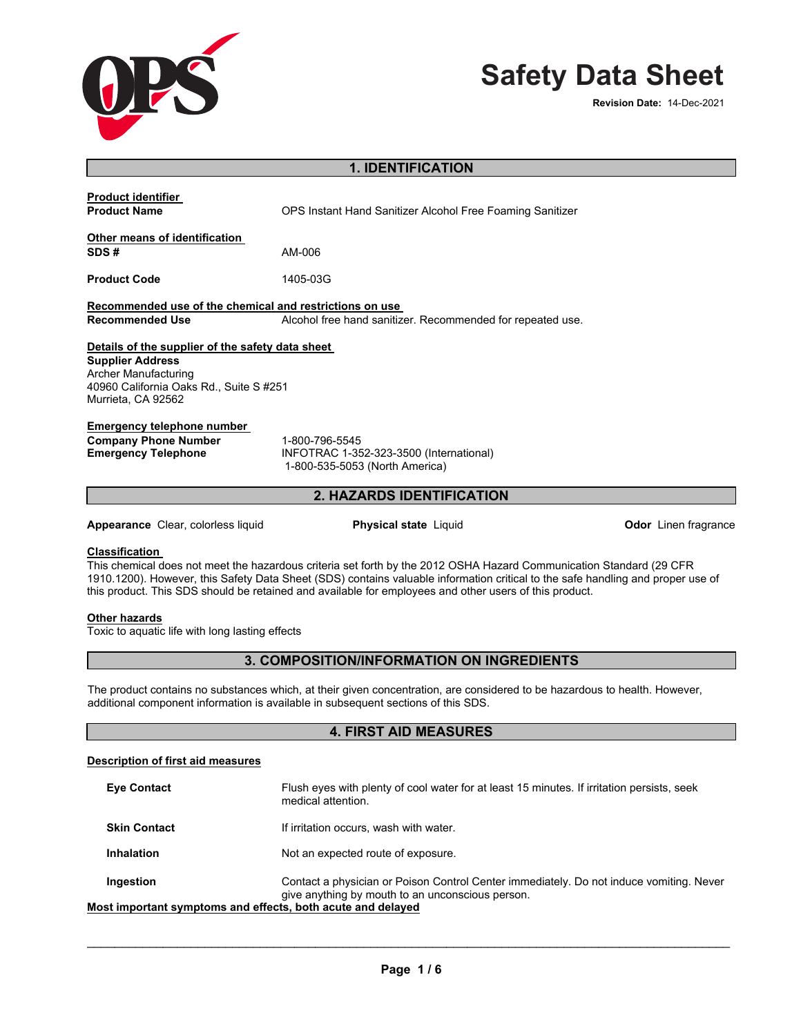

# **Safety Data Sheet**

| <b>1. IDENTIFICATION</b>                                                                                                                                                    |                                                                                                                                                                                                                                                                                                                                                                  |                             |  |
|-----------------------------------------------------------------------------------------------------------------------------------------------------------------------------|------------------------------------------------------------------------------------------------------------------------------------------------------------------------------------------------------------------------------------------------------------------------------------------------------------------------------------------------------------------|-----------------------------|--|
| <b>Product identifier</b>                                                                                                                                                   |                                                                                                                                                                                                                                                                                                                                                                  |                             |  |
| <b>Product Name</b>                                                                                                                                                         | OPS Instant Hand Sanitizer Alcohol Free Foaming Sanitizer                                                                                                                                                                                                                                                                                                        |                             |  |
| Other means of identification                                                                                                                                               |                                                                                                                                                                                                                                                                                                                                                                  |                             |  |
| SDS#                                                                                                                                                                        | AM-006                                                                                                                                                                                                                                                                                                                                                           |                             |  |
| <b>Product Code</b>                                                                                                                                                         | 1405-03G                                                                                                                                                                                                                                                                                                                                                         |                             |  |
| Recommended use of the chemical and restrictions on use                                                                                                                     |                                                                                                                                                                                                                                                                                                                                                                  |                             |  |
| <b>Recommended Use</b>                                                                                                                                                      | Alcohol free hand sanitizer. Recommended for repeated use.                                                                                                                                                                                                                                                                                                       |                             |  |
| Details of the supplier of the safety data sheet<br><b>Supplier Address</b><br><b>Archer Manufacturing</b><br>40960 California Oaks Rd., Suite S #251<br>Murrieta, CA 92562 |                                                                                                                                                                                                                                                                                                                                                                  |                             |  |
| <b>Emergency telephone number</b><br><b>Company Phone Number</b><br><b>Emergency Telephone</b>                                                                              | 1-800-796-5545<br>INFOTRAC 1-352-323-3500 (International)<br>1-800-535-5053 (North America)                                                                                                                                                                                                                                                                      |                             |  |
| 2. HAZARDS IDENTIFICATION                                                                                                                                                   |                                                                                                                                                                                                                                                                                                                                                                  |                             |  |
| Appearance Clear, colorless liquid                                                                                                                                          | <b>Physical state Liquid</b>                                                                                                                                                                                                                                                                                                                                     | <b>Odor</b> Linen fragrance |  |
| <b>Classification</b>                                                                                                                                                       | This chemical does not meet the hazardous criteria set forth by the 2012 OSHA Hazard Communication Standard (29 CFR<br>1910.1200). However, this Safety Data Sheet (SDS) contains valuable information critical to the safe handling and proper use of<br>this product. This SDS should be retained and available for employees and other users of this product. |                             |  |
| Other hazards<br>Toxic to aquatic life with long lasting effects                                                                                                            |                                                                                                                                                                                                                                                                                                                                                                  |                             |  |
|                                                                                                                                                                             | 3. COMPOSITION/INFORMATION ON INGREDIENTS                                                                                                                                                                                                                                                                                                                        |                             |  |
|                                                                                                                                                                             | The product contains no substances which, at their given concentration, are considered to be hazardous to health. However,<br>additional component information is available in subsequent sections of this SDS.                                                                                                                                                  |                             |  |
| <b>4. FIRST AID MEASURES</b>                                                                                                                                                |                                                                                                                                                                                                                                                                                                                                                                  |                             |  |
| <b>Description of first aid measures</b>                                                                                                                                    |                                                                                                                                                                                                                                                                                                                                                                  |                             |  |
| <b>Eye Contact</b>                                                                                                                                                          | Flush eyes with plenty of cool water for at least 15 minutes. If irritation persists, seek<br>medical attention.                                                                                                                                                                                                                                                 |                             |  |
| <b>Skin Contact</b>                                                                                                                                                         | If irritation occurs, wash with water.                                                                                                                                                                                                                                                                                                                           |                             |  |
| <b>Inhalation</b>                                                                                                                                                           | Not an expected route of exposure.                                                                                                                                                                                                                                                                                                                               |                             |  |
| Ingestion                                                                                                                                                                   | Contact a physician or Poison Control Center immediately. Do not induce vomiting. Never<br>give anything by mouth to an unconscious person.                                                                                                                                                                                                                      |                             |  |

**Most important symptoms and effects, both acute and delayed Most important symptoms and** 

\_\_\_\_\_\_\_\_\_\_\_\_\_\_\_\_\_\_\_\_\_\_\_\_\_\_\_\_\_\_\_\_\_\_\_\_\_\_\_\_\_\_\_\_\_\_\_\_\_\_\_\_\_\_\_\_\_\_\_\_\_\_\_\_\_\_\_\_\_\_\_\_\_\_\_\_\_\_\_\_\_\_\_\_\_\_\_\_\_\_\_\_\_

 $\overline{\phantom{a}}$  ,  $\overline{\phantom{a}}$  ,  $\overline{\phantom{a}}$  ,  $\overline{\phantom{a}}$  ,  $\overline{\phantom{a}}$  ,  $\overline{\phantom{a}}$  ,  $\overline{\phantom{a}}$  ,  $\overline{\phantom{a}}$  ,  $\overline{\phantom{a}}$  ,  $\overline{\phantom{a}}$  ,  $\overline{\phantom{a}}$  ,  $\overline{\phantom{a}}$  ,  $\overline{\phantom{a}}$  ,  $\overline{\phantom{a}}$  ,  $\overline{\phantom{a}}$  ,  $\overline{\phantom{a}}$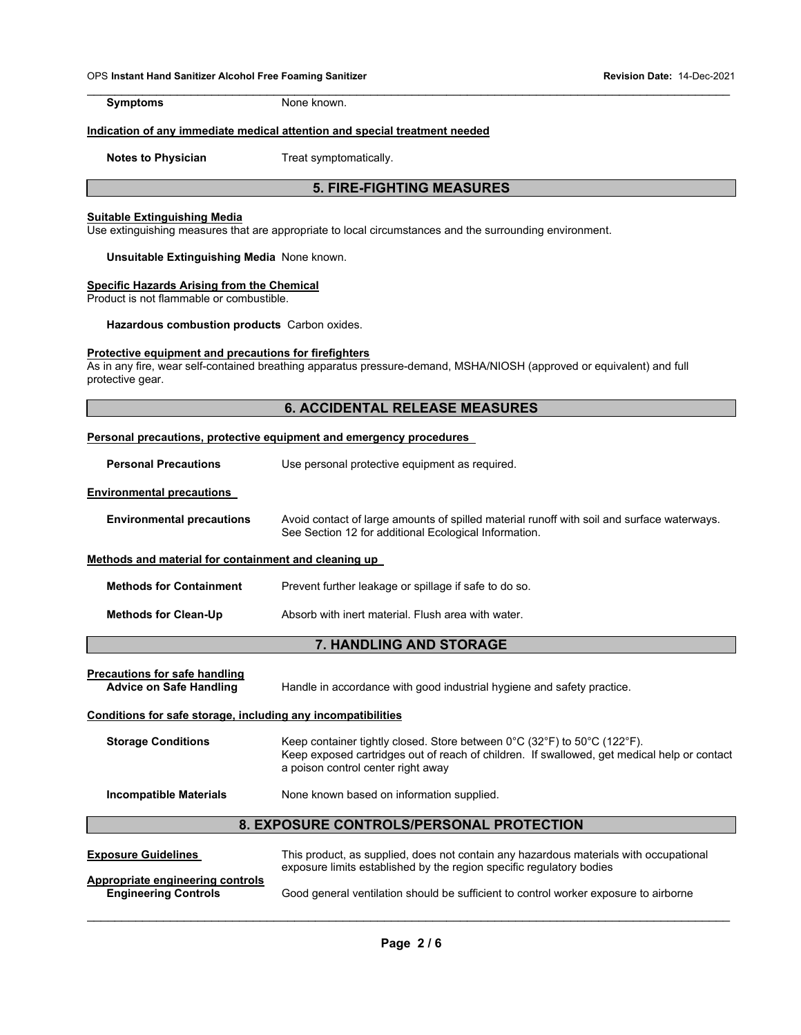\_\_\_\_\_\_\_\_\_\_\_\_\_\_\_\_\_\_\_\_\_\_\_\_\_\_\_\_\_\_\_\_\_\_\_\_\_\_\_\_\_\_\_\_\_\_\_\_\_\_\_\_\_\_\_\_\_\_\_\_\_\_\_\_\_\_\_\_\_\_\_\_\_\_\_\_\_\_\_\_\_\_\_\_\_\_\_\_\_\_\_\_\_ **Symptoms** None known.

#### **Indication of any immediate medical attention and special treatment needed**

**Notes to Physician Treat symptomatically.** 

# **5. FIRE-FIGHTING MEASURES**

#### **Suitable Extinguishing Media**

Use extinguishing measures that are appropriate to local circumstances and the surrounding environment.

**Unsuitable Extinguishing Media** None known.

#### **Specific Hazards Arising from the Chemical**

Product is not flammable or combustible.

**Hazardous combustion products** Carbon oxides.

#### **Protective equipment and precautions for firefighters**

As in any fire, wear self-contained breathing apparatus pressure-demand, MSHA/NIOSH (approved or equivalent) and full protective gear.

# **6. ACCIDENTAL RELEASE MEASURES**

| Personal precautions, protective equipment and emergency procedures |                                                                                                                                                                                                                                                          |  |  |
|---------------------------------------------------------------------|----------------------------------------------------------------------------------------------------------------------------------------------------------------------------------------------------------------------------------------------------------|--|--|
| <b>Personal Precautions</b>                                         | Use personal protective equipment as required.                                                                                                                                                                                                           |  |  |
| <b>Environmental precautions</b>                                    |                                                                                                                                                                                                                                                          |  |  |
| <b>Environmental precautions</b>                                    | Avoid contact of large amounts of spilled material runoff with soil and surface waterways.<br>See Section 12 for additional Ecological Information.                                                                                                      |  |  |
| Methods and material for containment and cleaning up                |                                                                                                                                                                                                                                                          |  |  |
| <b>Methods for Containment</b>                                      | Prevent further leakage or spillage if safe to do so.                                                                                                                                                                                                    |  |  |
| <b>Methods for Clean-Up</b>                                         | Absorb with inert material. Flush area with water.                                                                                                                                                                                                       |  |  |
|                                                                     | 7. HANDLING AND STORAGE                                                                                                                                                                                                                                  |  |  |
| Precautions for safe handling<br><b>Advice on Safe Handling</b>     | Handle in accordance with good industrial hygiene and safety practice.                                                                                                                                                                                   |  |  |
| Conditions for safe storage, including any incompatibilities        |                                                                                                                                                                                                                                                          |  |  |
| <b>Storage Conditions</b>                                           | Keep container tightly closed. Store between $0^{\circ}$ C (32 $^{\circ}$ F) to 50 $^{\circ}$ C (122 $^{\circ}$ F).<br>Keep exposed cartridges out of reach of children. If swallowed, get medical help or contact<br>a poison control center right away |  |  |
| <b>Incompatible Materials</b>                                       | None known based on information supplied.                                                                                                                                                                                                                |  |  |
| <b>8. EXPOSURE CONTROLS/PERSONAL PROTECTION</b>                     |                                                                                                                                                                                                                                                          |  |  |
| <b>Exposure Guidelines</b>                                          | This product, as supplied, does not contain any hazardous materials with occupational<br>exposure limits established by the region specific regulatory bodies                                                                                            |  |  |
| Appropriate engineering controls<br><b>Engineering Controls</b>     | Good general ventilation should be sufficient to control worker exposure to airborne                                                                                                                                                                     |  |  |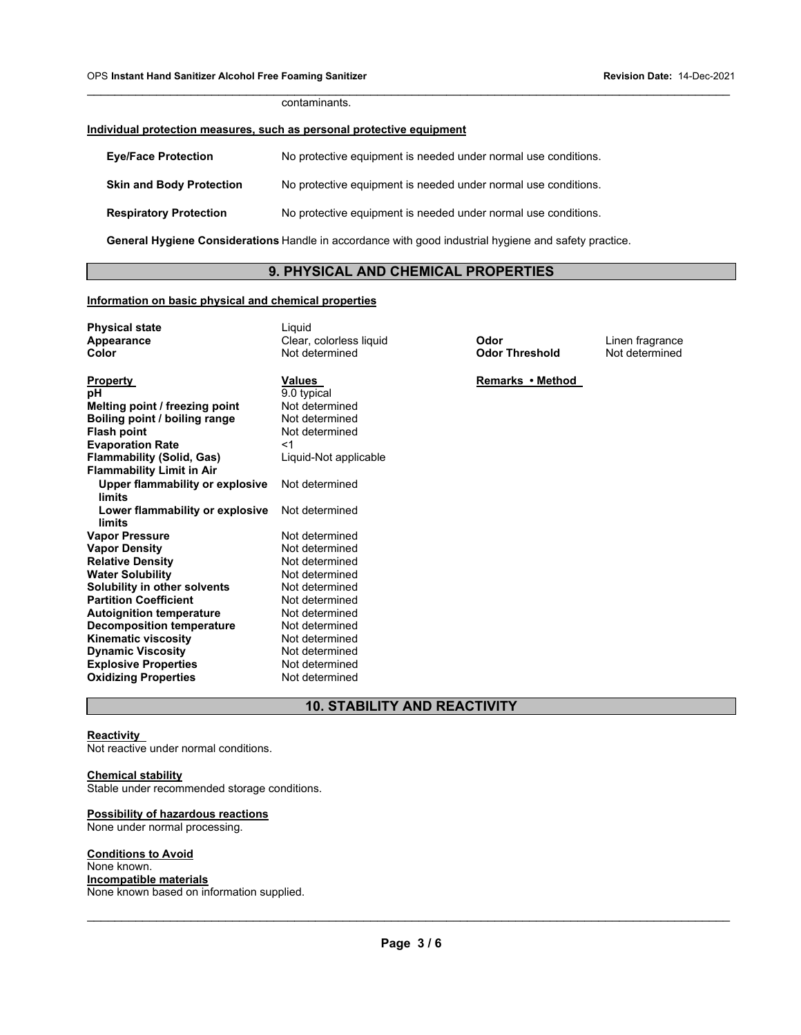contaminants.

# **Individual protection measures, such as personal protective equipment**

| <b>Eye/Face Protection</b>      | No protective equipment is needed under normal use conditions. |
|---------------------------------|----------------------------------------------------------------|
| <b>Skin and Body Protection</b> | No protective equipment is needed under normal use conditions. |
| <b>Respiratory Protection</b>   | No protective equipment is needed under normal use conditions. |

**General Hygiene Considerations** Handle in accordance with good industrial hygiene and safety practice.

# **9. PHYSICAL AND CHEMICAL PROPERTIES**

\_\_\_\_\_\_\_\_\_\_\_\_\_\_\_\_\_\_\_\_\_\_\_\_\_\_\_\_\_\_\_\_\_\_\_\_\_\_\_\_\_\_\_\_\_\_\_\_\_\_\_\_\_\_\_\_\_\_\_\_\_\_\_\_\_\_\_\_\_\_\_\_\_\_\_\_\_\_\_\_\_\_\_\_\_\_\_\_\_\_\_\_\_

# **Information on basic physical and chemical properties**

| <b>Physical state</b><br>Appearance<br>Color | Liguid<br>Clear, colorless liquid<br>Not determined | Odor<br><b>Odor Threshold</b> | Linen fragrance<br>Not determined |
|----------------------------------------------|-----------------------------------------------------|-------------------------------|-----------------------------------|
| <b>Property</b>                              | <b>Values</b>                                       | Remarks • Method              |                                   |
| рH                                           | 9.0 typical                                         |                               |                                   |
| Melting point / freezing point               | Not determined                                      |                               |                                   |
| Boiling point / boiling range                | Not determined                                      |                               |                                   |
| <b>Flash point</b>                           | Not determined                                      |                               |                                   |
| <b>Evaporation Rate</b>                      | <1                                                  |                               |                                   |
| <b>Flammability (Solid, Gas)</b>             | Liquid-Not applicable                               |                               |                                   |
| <b>Flammability Limit in Air</b>             |                                                     |                               |                                   |
| Upper flammability or explosive<br>limits    | Not determined                                      |                               |                                   |
| Lower flammability or explosive              | Not determined                                      |                               |                                   |
| limits                                       |                                                     |                               |                                   |
| <b>Vapor Pressure</b>                        | Not determined                                      |                               |                                   |
| <b>Vapor Density</b>                         | Not determined                                      |                               |                                   |
| <b>Relative Density</b>                      | Not determined                                      |                               |                                   |
| <b>Water Solubility</b>                      | Not determined                                      |                               |                                   |
| Solubility in other solvents                 | Not determined                                      |                               |                                   |
| <b>Partition Coefficient</b>                 | Not determined                                      |                               |                                   |
| <b>Autoignition temperature</b>              | Not determined                                      |                               |                                   |
| <b>Decomposition temperature</b>             | Not determined                                      |                               |                                   |
| <b>Kinematic viscosity</b>                   | Not determined                                      |                               |                                   |
| <b>Dynamic Viscosity</b>                     | Not determined                                      |                               |                                   |
| <b>Explosive Properties</b>                  | Not determined                                      |                               |                                   |
| <b>Oxidizing Properties</b>                  | Not determined                                      |                               |                                   |

# **10. STABILITY AND REACTIVITY**

#### **Reactivity**

Not reactive under normal conditions.

# **Chemical stability**

Stable under recommended storage conditions.

#### **Possibility of hazardous reactions**

None under normal processing.

#### **Conditions to Avoid**

None known. **Incompatible materials**  None known based on information supplied.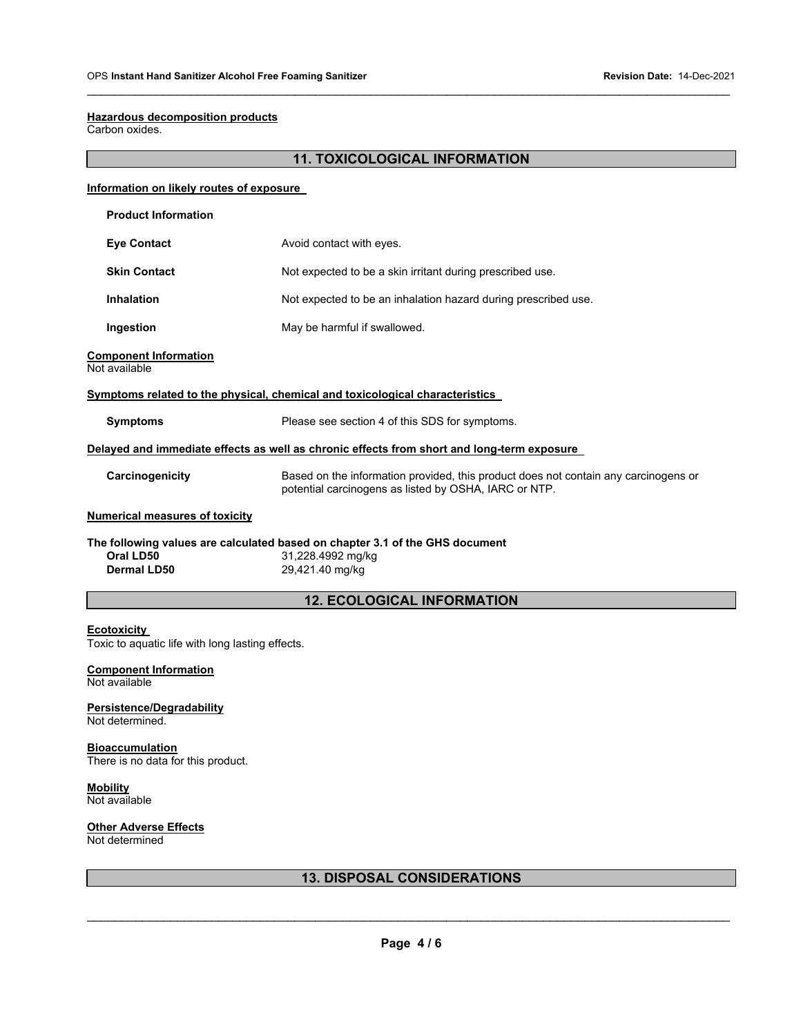#### **Hazardous decomposition products**

Carbon oxides.

# **11. TOXICOLOGICAL INFORMATION**

\_\_\_\_\_\_\_\_\_\_\_\_\_\_\_\_\_\_\_\_\_\_\_\_\_\_\_\_\_\_\_\_\_\_\_\_\_\_\_\_\_\_\_\_\_\_\_\_\_\_\_\_\_\_\_\_\_\_\_\_\_\_\_\_\_\_\_\_\_\_\_\_\_\_\_\_\_\_\_\_\_\_\_\_\_\_\_\_\_\_\_\_\_

| Information on likely routes of exposure                                     |                                                                                                                                              |  |
|------------------------------------------------------------------------------|----------------------------------------------------------------------------------------------------------------------------------------------|--|
| <b>Product Information</b>                                                   |                                                                                                                                              |  |
| <b>Eye Contact</b>                                                           | Avoid contact with eyes.                                                                                                                     |  |
| <b>Skin Contact</b>                                                          | Not expected to be a skin irritant during prescribed use.                                                                                    |  |
| <b>Inhalation</b>                                                            | Not expected to be an inhalation hazard during prescribed use.                                                                               |  |
| Ingestion                                                                    | May be harmful if swallowed.                                                                                                                 |  |
| <b>Component Information</b><br>Not available                                |                                                                                                                                              |  |
| Symptoms related to the physical, chemical and toxicological characteristics |                                                                                                                                              |  |
| <b>Symptoms</b>                                                              | Please see section 4 of this SDS for symptoms.                                                                                               |  |
|                                                                              | Delayed and immediate effects as well as chronic effects from short and long-term exposure                                                   |  |
| Carcinogenicity                                                              | Based on the information provided, this product does not contain any carcinogens or<br>potential carcinogens as listed by OSHA, IARC or NTP. |  |
| <b>Numerical measures of toxicity</b>                                        |                                                                                                                                              |  |
| The following values are calculated based on chapter 3.1 of the GHS document |                                                                                                                                              |  |
| Oral LD50                                                                    | 31,228.4992 mg/kg                                                                                                                            |  |
| Dermal LD50                                                                  | 29,421.40 mg/kg                                                                                                                              |  |
| <b>12. ECOLOGICAL INFORMATION</b>                                            |                                                                                                                                              |  |
| <b>Ecotoxicity</b><br>Toxic to aquatic life with long lasting effects.       |                                                                                                                                              |  |

#### **Component Information**  Not available

**Persistence/Degradability**  Not determined.

**Bioaccumulation**  There is no data for this product.

**Mobility**  Not available

# **Other Adverse Effects**

Not determined

# **13. DISPOSAL CONSIDERATIONS**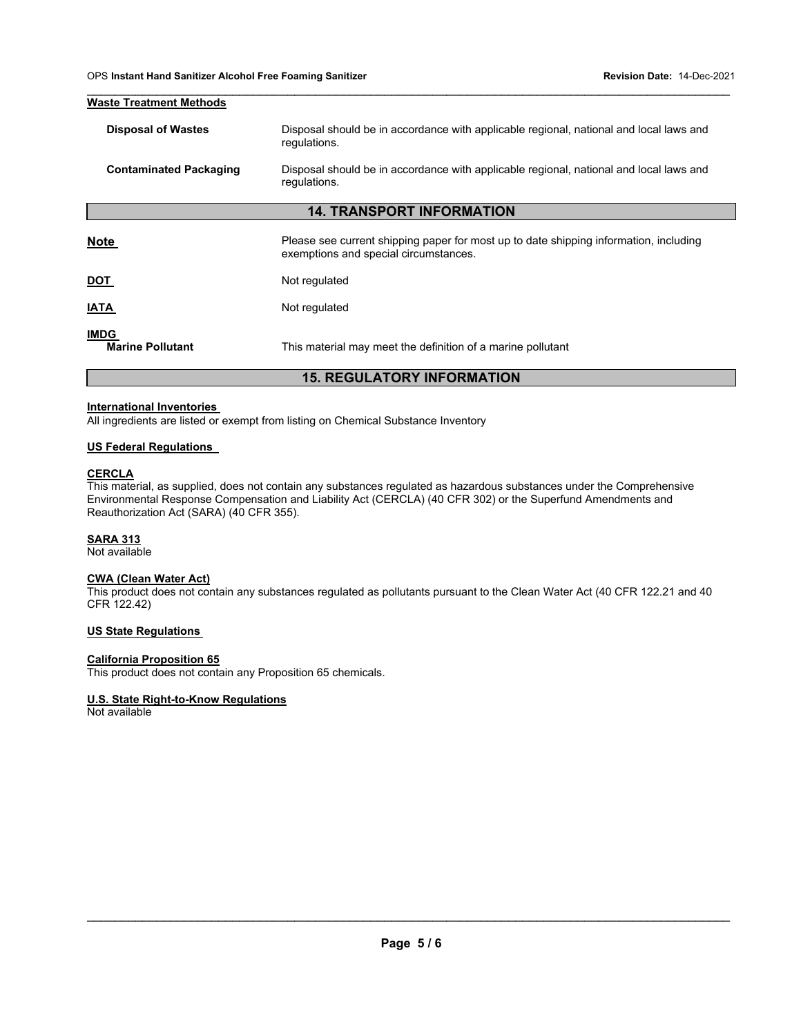| <b>Waste Treatment Methods</b>         |                                                                                                        |  |
|----------------------------------------|--------------------------------------------------------------------------------------------------------|--|
| <b>Disposal of Wastes</b>              | Disposal should be in accordance with applicable regional, national and local laws and<br>regulations. |  |
| <b>Contaminated Packaging</b>          | Disposal should be in accordance with applicable regional, national and local laws and<br>regulations. |  |
| <b>14. TRANSPORT INFORMATION</b>       |                                                                                                        |  |
| <b>Note</b>                            | Please see current shipping paper for most up to date shipping information, including                  |  |
|                                        | exemptions and special circumstances.                                                                  |  |
| <u>рот</u>                             | Not regulated                                                                                          |  |
| <b>IATA</b>                            | Not regulated                                                                                          |  |
| <b>IMDG</b><br><b>Marine Pollutant</b> | This material may meet the definition of a marine pollutant                                            |  |
| <b>15. REGULATORY INFORMATION</b>      |                                                                                                        |  |

\_\_\_\_\_\_\_\_\_\_\_\_\_\_\_\_\_\_\_\_\_\_\_\_\_\_\_\_\_\_\_\_\_\_\_\_\_\_\_\_\_\_\_\_\_\_\_\_\_\_\_\_\_\_\_\_\_\_\_\_\_\_\_\_\_\_\_\_\_\_\_\_\_\_\_\_\_\_\_\_\_\_\_\_\_\_\_\_\_\_\_\_\_

#### **International Inventories**

All ingredients are listed or exempt from listing on Chemical Substance Inventory

### **US Federal Regulations**

## **CERCLA**

This material, as supplied, does not contain any substances regulated as hazardous substances under the Comprehensive Environmental Response Compensation and Liability Act (CERCLA) (40 CFR 302) or the Superfund Amendments and Reauthorization Act (SARA) (40 CFR 355).

# **SARA 313**

Not available

# **CWA (Clean Water Act)**

This product does not contain any substances regulated as pollutants pursuant to the Clean Water Act (40 CFR 122.21 and 40 CFR 122.42)

#### **US State Regulations**

#### **California Proposition 65**

This product does not contain any Proposition 65 chemicals.

# **U.S. State Right-to-Know Regulations**

Not available